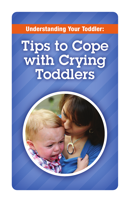Understanding Your Toddler:

# Tips to Cope with Crying Toddlers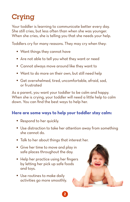# Crying

Your toddler is learning to communicate better every day. She still cries, but less often than when she was younger. When she cries, she is telling you that she needs your help.

Toddlers cry for many reasons. They may cry when they:

- Want things they cannot have
- Are not able to tell you what they want or need
- Cannot always move around like they want to
- Want to do more on their own, but still need help
- Get overwhelmed, tired, uncomfortable, afraid, sad, or frustrated

As a parent, you want your toddler to be calm and happy. When she is crying, your toddler will need a little help to calm down. You can find the best ways to help her.

### **Here are some ways to help your toddler stay calm:**

- Respond to her quickly.
- Use distraction to take her attention away from something she cannot do.
- Talk to her about things that interest her.
- Give her time to move and play in safe places throughout the day.
- Help her practice using her fingers by letting her pick up safe foods and toys.
- Use routines to make daily activities go more smoothly.



2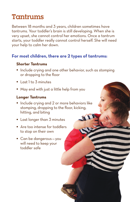# Tantrums

Between 18 months and 3 years, children sometimes have tantrums. Your toddler's brain is still developing. When she is very upset, she cannot control her emotions. Once a tantrum starts, your toddler really cannot control herself. She will need your help to calm her down.

## **For most children, there are 2 types of tantrums:**

#### **Shorter Tantrums**

• Include crying and one other behavior, such as stomping or dropping to the floor

5

- Last 1 to 3 minutes
- May end with just a little help from you

#### **Longer Tantrums**

- Include crying and 2 or more behaviors like stomping, dropping to the floor, kicking, hitting, and biting
- Last longer than 3 minutes
- Are too intense for toddlers to stop on their own
- Can be dangerous you will need to keep your toddler safe